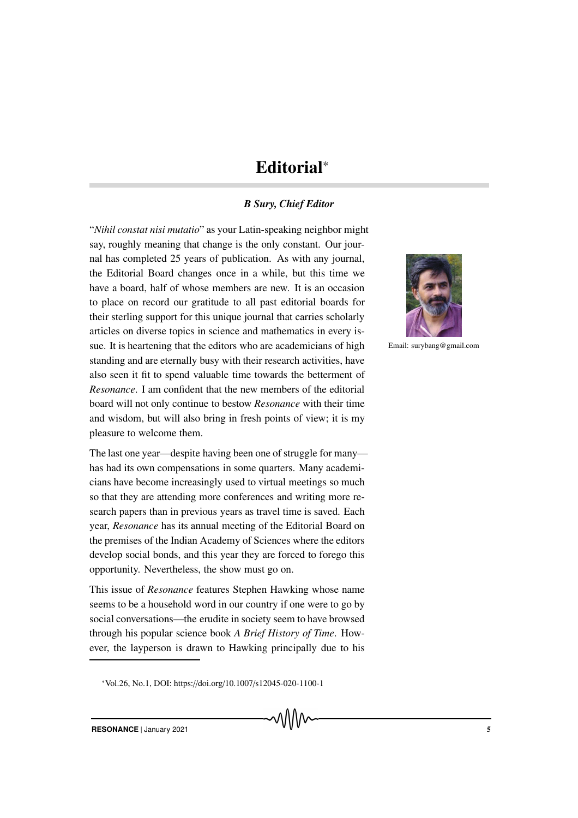# Editorial\*

## *B Sury, Chief Editor*

"*Nihil constat nisi mutatio*" as your Latin-speaking neighbor might say, roughly meaning that change is the only constant. Our journal has completed 25 years of publication. As with any journal, the Editorial Board changes once in a while, but this time we have a board, half of whose members are new. It is an occasion to place on record our gratitude to all past editorial boards for their sterling support for this unique journal that carries scholarly articles on diverse topics in science and mathematics in every issue. It is heartening that the editors who are academicians of high standing and are eternally busy with their research activities, have also seen it fit to spend valuable time towards the betterment of *Resonance*. I am confident that the new members of the editorial board will not only continue to bestow *Resonance* with their time and wisdom, but will also bring in fresh points of view; it is my pleasure to welcome them.

The last one year—despite having been one of struggle for many has had its own compensations in some quarters. Many academicians have become increasingly used to virtual meetings so much so that they are attending more conferences and writing more research papers than in previous years as travel time is saved. Each year, *Resonance* has its annual meeting of the Editorial Board on the premises of the Indian Academy of Sciences where the editors develop social bonds, and this year they are forced to forego this opportunity. Nevertheless, the show must go on.

This issue of *Resonance* features Stephen Hawking whose name seems to be a household word in our country if one were to go by social conversations—the erudite in society seem to have browsed through his popular science book *A Brief History of Time*. However, the layperson is drawn to Hawking principally due to his



Email: surybang@gmail.com

<sup>\*</sup>Vol.26, No.1, DOI: https://doi.org/10.1007/s12045-020-1100-1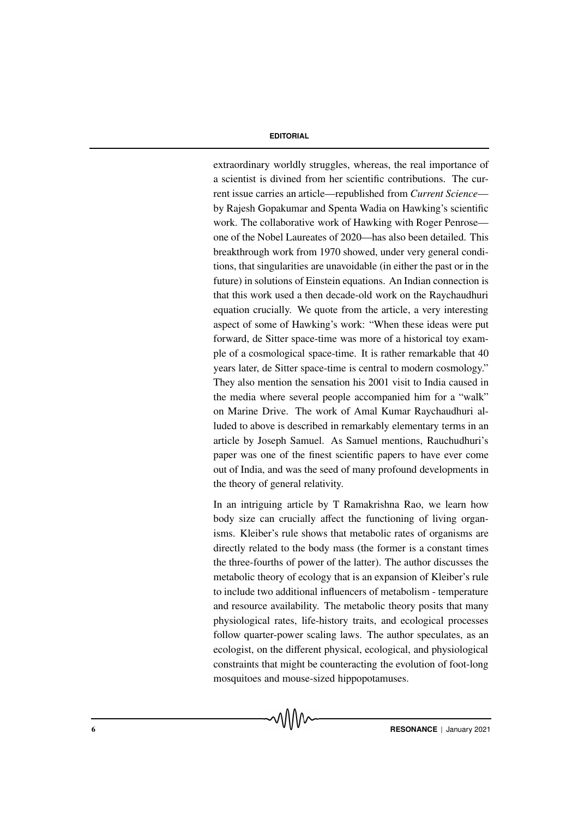### **EDITORIAL**

extraordinary worldly struggles, whereas, the real importance of a scientist is divined from her scientific contributions. The current issue carries an article—republished from *Current Science* by Rajesh Gopakumar and Spenta Wadia on Hawking's scientific work. The collaborative work of Hawking with Roger Penrose one of the Nobel Laureates of 2020—has also been detailed. This breakthrough work from 1970 showed, under very general conditions, that singularities are unavoidable (in either the past or in the future) in solutions of Einstein equations. An Indian connection is that this work used a then decade-old work on the Raychaudhuri equation crucially. We quote from the article, a very interesting aspect of some of Hawking's work: "When these ideas were put forward, de Sitter space-time was more of a historical toy example of a cosmological space-time. It is rather remarkable that 40 years later, de Sitter space-time is central to modern cosmology." They also mention the sensation his 2001 visit to India caused in the media where several people accompanied him for a "walk" on Marine Drive. The work of Amal Kumar Raychaudhuri alluded to above is described in remarkably elementary terms in an article by Joseph Samuel. As Samuel mentions, Rauchudhuri's paper was one of the finest scientific papers to have ever come out of India, and was the seed of many profound developments in the theory of general relativity.

In an intriguing article by T Ramakrishna Rao, we learn how body size can crucially affect the functioning of living organisms. Kleiber's rule shows that metabolic rates of organisms are directly related to the body mass (the former is a constant times the three-fourths of power of the latter). The author discusses the metabolic theory of ecology that is an expansion of Kleiber's rule to include two additional influencers of metabolism - temperature and resource availability. The metabolic theory posits that many physiological rates, life-history traits, and ecological processes follow quarter-power scaling laws. The author speculates, as an ecologist, on the different physical, ecological, and physiological constraints that might be counteracting the evolution of foot-long mosquitoes and mouse-sized hippopotamuses.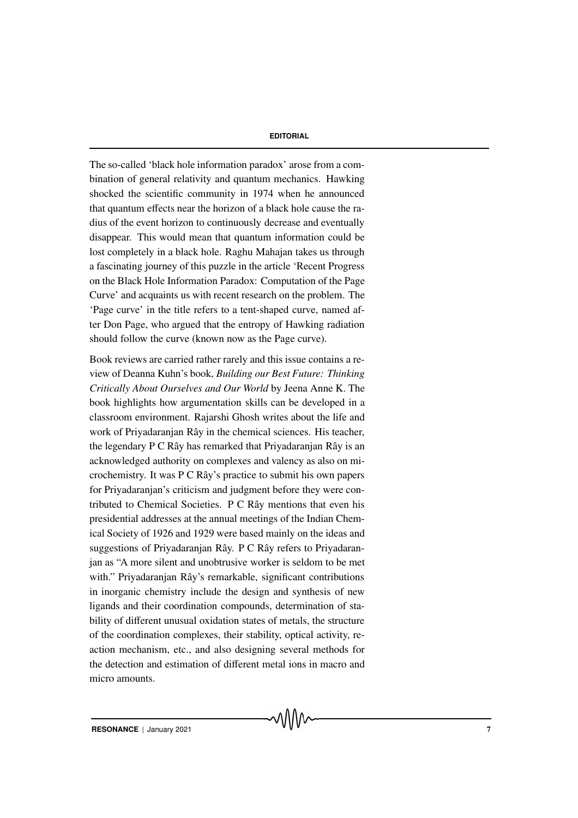#### **EDITORIAL**

The so-called 'black hole information paradox' arose from a combination of general relativity and quantum mechanics. Hawking shocked the scientific community in 1974 when he announced that quantum effects near the horizon of a black hole cause the radius of the event horizon to continuously decrease and eventually disappear. This would mean that quantum information could be lost completely in a black hole. Raghu Mahajan takes us through a fascinating journey of this puzzle in the article 'Recent Progress on the Black Hole Information Paradox: Computation of the Page Curve' and acquaints us with recent research on the problem. The 'Page curve' in the title refers to a tent-shaped curve, named after Don Page, who argued that the entropy of Hawking radiation should follow the curve (known now as the Page curve).

Book reviews are carried rather rarely and this issue contains a review of Deanna Kuhn's book, *Building our Best Future: Thinking Critically About Ourselves and Our World* by Jeena Anne K. The book highlights how argumentation skills can be developed in a classroom environment. Rajarshi Ghosh writes about the life and work of Priyadaranjan Rây in the chemical sciences. His teacher, the legendary P C Rây has remarked that Priyadaranjan Rây is an acknowledged authority on complexes and valency as also on microchemistry. It was P C Rây's practice to submit his own papers for Priyadaranjan's criticism and judgment before they were contributed to Chemical Societies. P C Rây mentions that even his presidential addresses at the annual meetings of the Indian Chemical Society of 1926 and 1929 were based mainly on the ideas and suggestions of Priyadaranjan Rây. P C Rây refers to Priyadaranjan as "A more silent and unobtrusive worker is seldom to be met with." Priyadaranjan Rây's remarkable, significant contributions in inorganic chemistry include the design and synthesis of new ligands and their coordination compounds, determination of stability of different unusual oxidation states of metals, the structure of the coordination complexes, their stability, optical activity, reaction mechanism, etc., and also designing several methods for the detection and estimation of different metal ions in macro and micro amounts.